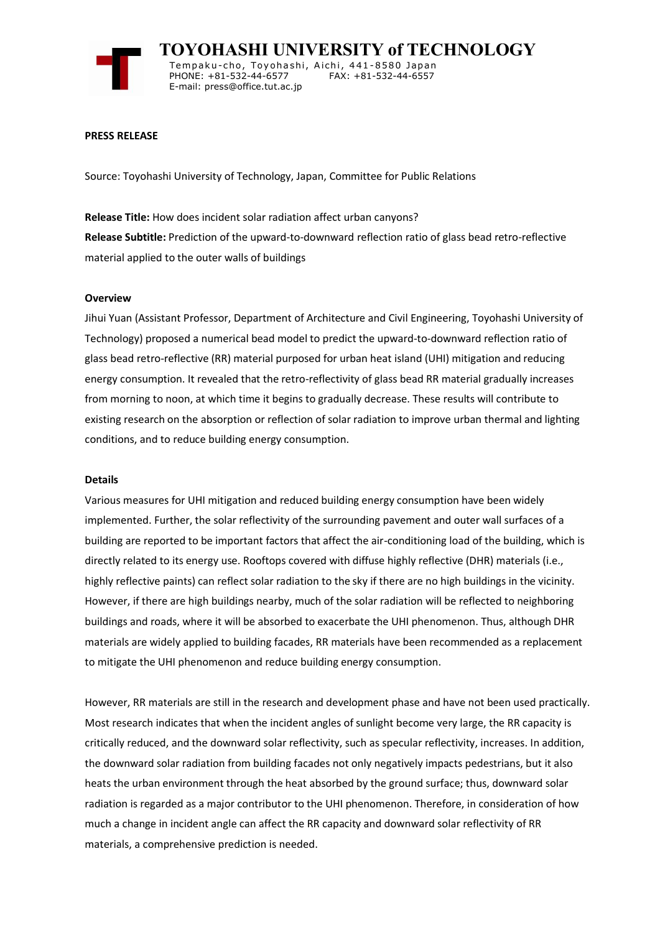

 **TOYOHASHI UNIVERSITY of TECHNOLOGY** Tempaku-cho, Toyohashi, Aichi, 441-8580 Japan<br>PHONE: +81-532-44-6577 FAX: +81-532-44-6557 PHONE: +81-532-44-6577 E-mail: press@office.tut.ac.jp

### **PRESS RELEASE**

Source: Toyohashi University of Technology, Japan, Committee for Public Relations

**Release Title:** How does incident solar radiation affect urban canyons? **Release Subtitle:** Prediction of the upward-to-downward reflection ratio of glass bead retro-reflective material applied to the outer walls of buildings

### **Overview**

Jihui Yuan (Assistant Professor, Department of Architecture and Civil Engineering, Toyohashi University of Technology) proposed a numerical bead model to predict the upward-to-downward reflection ratio of glass bead retro-reflective (RR) material purposed for urban heat island (UHI) mitigation and reducing energy consumption. It revealed that the retro-reflectivity of glass bead RR material gradually increases from morning to noon, at which time it begins to gradually decrease. These results will contribute to existing research on the absorption or reflection of solar radiation to improve urban thermal and lighting conditions, and to reduce building energy consumption.

#### **Details**

Various measures for UHI mitigation and reduced building energy consumption have been widely implemented. Further, the solar reflectivity of the surrounding pavement and outer wall surfaces of a building are reported to be important factors that affect the air-conditioning load of the building, which is directly related to its energy use. Rooftops covered with diffuse highly reflective (DHR) materials (i.e., highly reflective paints) can reflect solar radiation to the sky if there are no high buildings in the vicinity. However, if there are high buildings nearby, much of the solar radiation will be reflected to neighboring buildings and roads, where it will be absorbed to exacerbate the UHI phenomenon. Thus, although DHR materials are widely applied to building facades, RR materials have been recommended as a replacement to mitigate the UHI phenomenon and reduce building energy consumption.

However, RR materials are still in the research and development phase and have not been used practically. Most research indicates that when the incident angles of sunlight become very large, the RR capacity is critically reduced, and the downward solar reflectivity, such as specular reflectivity, increases. In addition, the downward solar radiation from building facades not only negatively impacts pedestrians, but it also heats the urban environment through the heat absorbed by the ground surface; thus, downward solar radiation is regarded as a major contributor to the UHI phenomenon. Therefore, in consideration of how much a change in incident angle can affect the RR capacity and downward solar reflectivity of RR materials, a comprehensive prediction is needed.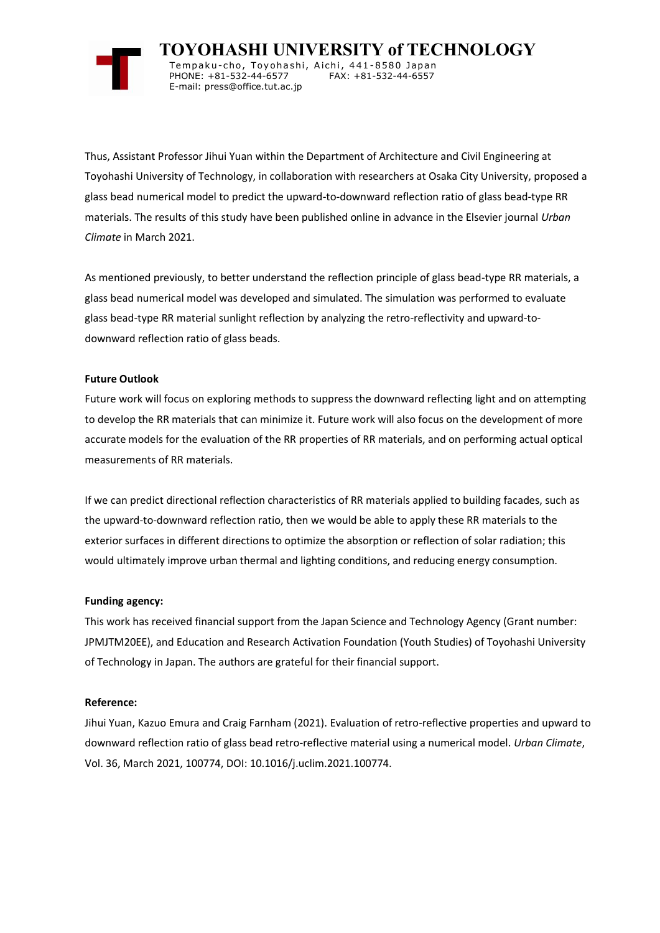

 **TOYOHASHI UNIVERSITY of TECHNOLOGY** Tempaku-cho, Toyohashi, Aichi, 441-8580 Japan<br>PHONE: +81-532-44-6577 FAX: +81-532-44-6557 PHONE: +81-532-44-6577 E-mail: press@office.tut.ac.jp

Thus, Assistant Professor Jihui Yuan within the Department of Architecture and Civil Engineering at Toyohashi University of Technology, in collaboration with researchers at Osaka City University, proposed a glass bead numerical model to predict the upward-to-downward reflection ratio of glass bead-type RR materials. The results of this study have been published online in advance in the Elsevier journal *Urban Climate* in March 2021.

As mentioned previously, to better understand the reflection principle of glass bead-type RR materials, a glass bead numerical model was developed and simulated. The simulation was performed to evaluate glass bead-type RR material sunlight reflection by analyzing the retro-reflectivity and upward-todownward reflection ratio of glass beads.

# **Future Outlook**

Future work will focus on exploring methods to suppress the downward reflecting light and on attempting to develop the RR materials that can minimize it. Future work will also focus on the development of more accurate models for the evaluation of the RR properties of RR materials, and on performing actual optical measurements of RR materials.

If we can predict directional reflection characteristics of RR materials applied to building facades, such as the upward-to-downward reflection ratio, then we would be able to apply these RR materials to the exterior surfaces in different directions to optimize the absorption or reflection of solar radiation; this would ultimately improve urban thermal and lighting conditions, and reducing energy consumption.

# **Funding agency:**

This work has received financial support from the Japan Science and Technology Agency (Grant number: JPMJTM20EE), and Education and Research Activation Foundation (Youth Studies) of Toyohashi University of Technology in Japan. The authors are grateful for their financial support.

## **Reference:**

Jihui Yuan, Kazuo Emura and Craig Farnham (2021). Evaluation of retro-reflective properties and upward to downward reflection ratio of glass bead retro-reflective material using a numerical model. *Urban Climate*, Vol. 36, March 2021, 100774, DOI: 10.1016/j.uclim.2021.100774.